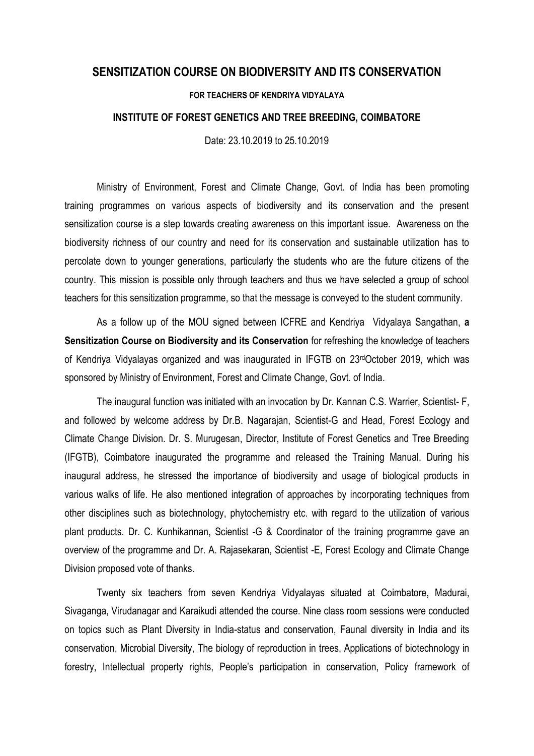## **SENSITIZATION COURSE ON BIODIVERSITY AND ITS CONSERVATION**

## **FOR TEACHERS OF KENDRIYA VIDYALAYA**

## **INSTITUTE OF FOREST GENETICS AND TREE BREEDING, COIMBATORE**

Date: 23.10.2019 to 25.10.2019

Ministry of Environment, Forest and Climate Change, Govt. of India has been promoting training programmes on various aspects of biodiversity and its conservation and the present sensitization course is a step towards creating awareness on this important issue. Awareness on the biodiversity richness of our country and need for its conservation and sustainable utilization has to percolate down to younger generations, particularly the students who are the future citizens of the country. This mission is possible only through teachers and thus we have selected a group of school teachers for this sensitization programme, so that the message is conveyed to the student community.

As a follow up of the MOU signed between ICFRE and Kendriya Vidyalaya Sangathan, **a Sensitization Course on Biodiversity and its Conservation** for refreshing the knowledge of teachers of Kendriya Vidyalayas organized and was inaugurated in IFGTB on 23rdOctober 2019, which was sponsored by Ministry of Environment, Forest and Climate Change, Govt. of India.

The inaugural function was initiated with an invocation by Dr. Kannan C.S. Warrier, Scientist- F, and followed by welcome address by Dr.B. Nagarajan, Scientist-G and Head, Forest Ecology and Climate Change Division. Dr. S. Murugesan, Director, Institute of Forest Genetics and Tree Breeding (IFGTB), Coimbatore inaugurated the programme and released the Training Manual. During his inaugural address, he stressed the importance of biodiversity and usage of biological products in various walks of life. He also mentioned integration of approaches by incorporating techniques from other disciplines such as biotechnology, phytochemistry etc. with regard to the utilization of various plant products. Dr. C. Kunhikannan, Scientist -G & Coordinator of the training programme gave an overview of the programme and Dr. A. Rajasekaran, Scientist -E, Forest Ecology and Climate Change Division proposed vote of thanks.

Twenty six teachers from seven Kendriya Vidyalayas situated at Coimbatore, Madurai, Sivaganga, Virudanagar and Karaikudi attended the course. Nine class room sessions were conducted on topics such as Plant Diversity in India-status and conservation, Faunal diversity in India and its conservation, Microbial Diversity, The biology of reproduction in trees, Applications of biotechnology in forestry, Intellectual property rights, People's participation in conservation, Policy framework of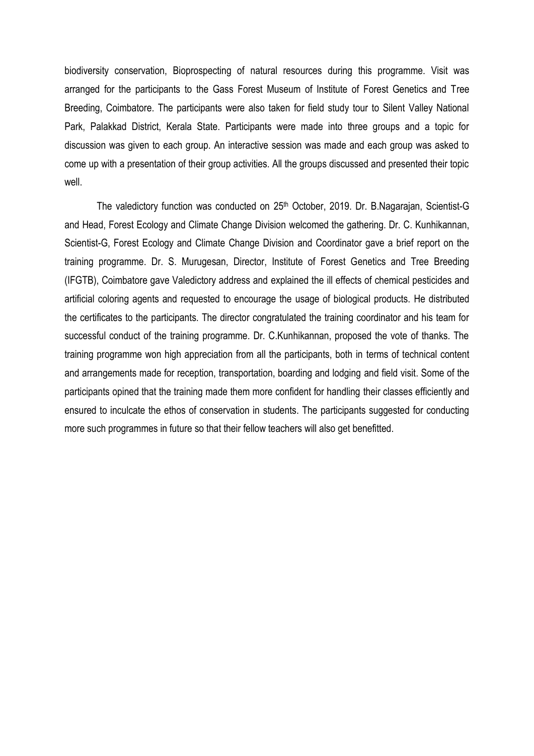biodiversity conservation, Bioprospecting of natural resources during this programme. Visit was arranged for the participants to the Gass Forest Museum of Institute of Forest Genetics and Tree Breeding, Coimbatore. The participants were also taken for field study tour to Silent Valley National Park, Palakkad District, Kerala State. Participants were made into three groups and a topic for discussion was given to each group. An interactive session was made and each group was asked to come up with a presentation of their group activities. All the groups discussed and presented their topic well.

The valedictory function was conducted on 25<sup>th</sup> October, 2019. Dr. B.Nagarajan, Scientist-G and Head, Forest Ecology and Climate Change Division welcomed the gathering. Dr. C. Kunhikannan, Scientist-G, Forest Ecology and Climate Change Division and Coordinator gave a brief report on the training programme. Dr. S. Murugesan, Director, Institute of Forest Genetics and Tree Breeding (IFGTB), Coimbatore gave Valedictory address and explained the ill effects of chemical pesticides and artificial coloring agents and requested to encourage the usage of biological products. He distributed the certificates to the participants. The director congratulated the training coordinator and his team for successful conduct of the training programme. Dr. C.Kunhikannan, proposed the vote of thanks. The training programme won high appreciation from all the participants, both in terms of technical content and arrangements made for reception, transportation, boarding and lodging and field visit. Some of the participants opined that the training made them more confident for handling their classes efficiently and ensured to inculcate the ethos of conservation in students. The participants suggested for conducting more such programmes in future so that their fellow teachers will also get benefitted.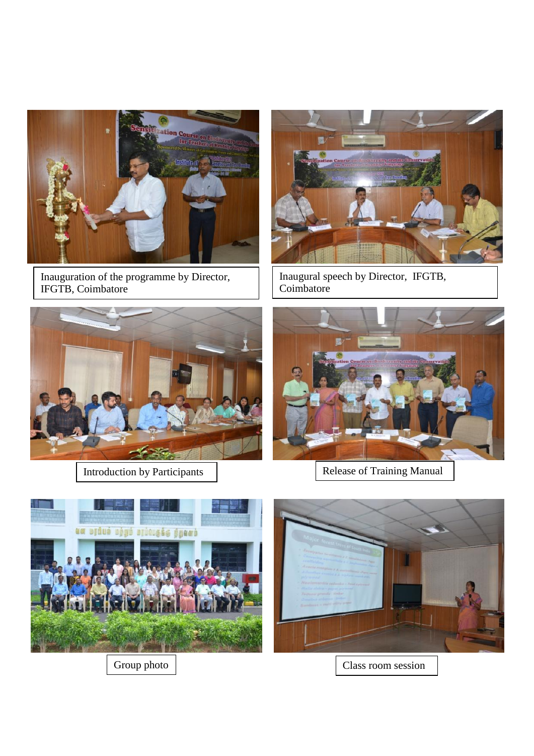

Inauguration of the programme by Director, IFGTB, Coimbatore



Inaugural speech by Director, IFGTB, Coimbatore





Introduction by Participants  $\begin{array}{|c|c|c|c|c|}\n\hline\n\end{array}$  Release of Training Manual





Group photo  $\Big|$  Class room session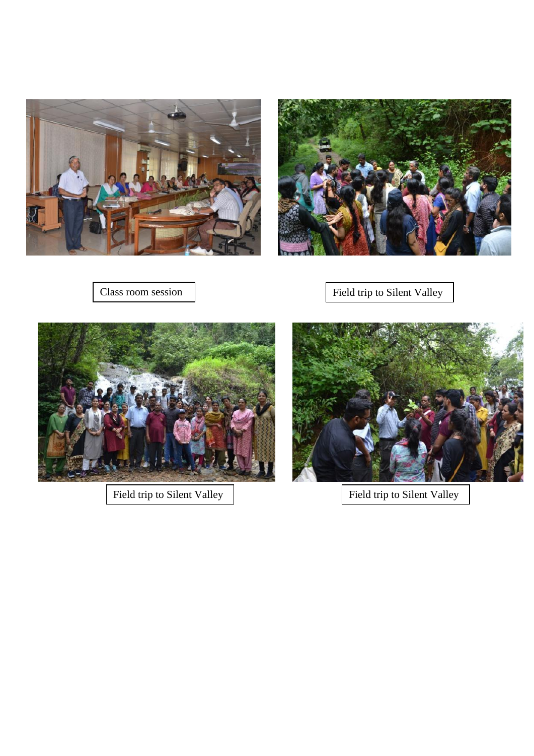



Class room session Field trip to Silent Valley



Field trip to Silent Valley  $\Big|$  Field trip to Silent Valley